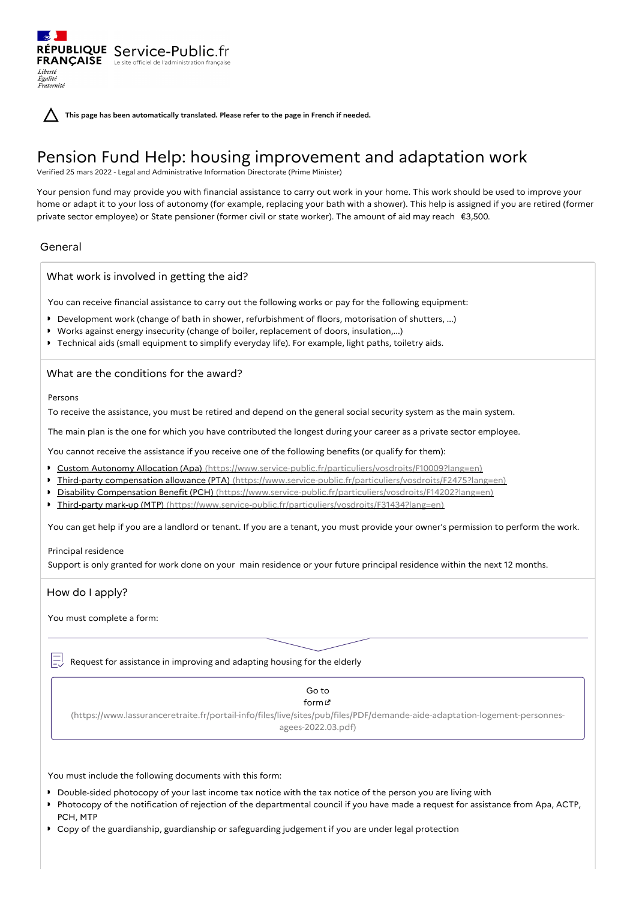**This page has been automatically translated. Please refer to the page in French if needed.**

# Pension Fund Help: housing improvement and adaptation work

Verified 25 mars 2022 - Legal and Administrative Information Directorate (Prime Minister)

Your pension fund may provide you with financial assistance to carry out work in your home. This work should be used to improve your home or adapt it to your loss of autonomy (for example, replacing your bath with a shower). This help is assigned if you are retired (former private sector employee) or State pensioner (former civil or state worker). The amount of aid may reach €3,500.

# General

Liberté Égalité<br>Fraternité

What work is involved in getting the aid?

RÉPUBLIQUE Service-Public.fr **FRANÇAISE** Le site officiel de l'administration fran

You can receive financial assistance to carry out the following works or pay for the following equipment:

- Development work (change of bath in shower, refurbishment of floors, motorisation of shutters, ...)
- Works against energy insecurity (change of boiler, replacement of doors, insulation,...)
- Technical aids (small equipment to simplify everyday life). For example, light paths, toiletry aids.

What are the conditions for the award?

Persons

To receive the assistance, you must be retired and depend on the general social security system as the main system.

The main plan is the one for which you have contributed the longest during your career as a private sector employee.

You cannot receive the assistance if you receive one of the following benefits (or qualify for them):

- Custom Autonomy Allocation (Apa) [\(https://www.service-public.fr/particuliers/vosdroits/F10009?lang=en\)](https://www.service-public.fr/particuliers/vosdroits/F10009?lang=en)
- Third-party compensation allowance (PTA) [\(https://www.service-public.fr/particuliers/vosdroits/F2475?lang=en\)](https://www.service-public.fr/particuliers/vosdroits/F2475?lang=en)
- Disability Compensation Benefit (PCH) [\(https://www.service-public.fr/particuliers/vosdroits/F14202?lang=en\)](https://www.service-public.fr/particuliers/vosdroits/F14202?lang=en)
- Third-party mark-up (MTP) [\(https://www.service-public.fr/particuliers/vosdroits/F31434?lang=en\)](https://www.service-public.fr/particuliers/vosdroits/F31434?lang=en)

You can get help if you are a landlord or tenant. If you are a tenant, you must provide your owner's permission to perform the work.

#### Principal residence

Support is only granted for work done on your main residence or your future principal residence within the next 12 months.

### How do I apply?

You must complete a form:

 $\equiv$  Request for assistance in improving and adapting housing for the elderly

# Go to

form<sub>L</sub> [\(https://www.lassuranceretraite.fr/portail-info/files/live/sites/pub/files/PDF/demande-aide-adaptation-logement-personnes-](https://www.lassuranceretraite.fr/portail-info/files/live/sites/pub/files/PDF/demande-aide-adaptation-logement-personnes-agees-2022.03.pdf)

agees-2022.03.pdf)

You must include the following documents with this form:

- Double-sided photocopy of your last income tax notice with the tax notice of the person you are living with
- Photocopy of the notification of rejection of the departmental council if you have made a request for assistance from Apa, ACTP, PCH, MTP
- Copy of the guardianship, guardianship or safeguarding judgement if you are under legal protection $\mathbf{r}$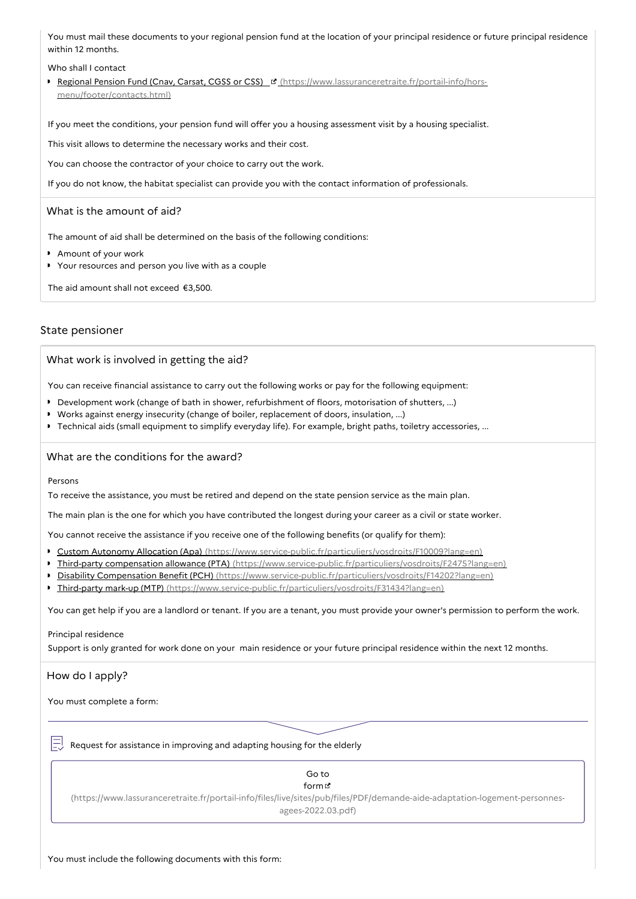You must mail these documents to your regional pension fund at the location of your principal residence or future principal residence within 12 months.

Who shall I contact

Regional Pension Fund (Cnav, Carsat, CGSS or CSS) Chttps://www.lassuranceretraite.fr/portail-info/horsmenu/footer/contacts.html)

If you meet the conditions, your pension fund will offer you a housing assessment visit by a housing specialist.

This visit allows to determine the necessary works and their cost.

You can choose the contractor of your choice to carry out the work.

If you do not know, the habitat specialist can provide you with the contact information of professionals.

#### What is the amount of aid?

The amount of aid shall be determined on the basis of the following conditions:

- Amount of your work
- Your resources and person you live with as a couple

The aid amount shall not exceed €3,500.

#### State pensioner

What work is involved in getting the aid?

You can receive financial assistance to carry out the following works or pay for the following equipment:

- Development work (change of bath in shower, refurbishment of floors, motorisation of shutters, ...)
- Works against energy insecurity (change of boiler, replacement of doors, insulation, ...)
- Technical aids (small equipment to simplify everyday life). For example, bright paths, toiletry accessories, ...

#### What are the conditions for the award?

Persons

To receive the assistance, you must be retired and depend on the state pension service as the main plan.

The main plan is the one for which you have contributed the longest during your career as a civil or state worker.

You cannot receive the assistance if you receive one of the following benefits (or qualify for them):

- Custom Autonomy Allocation (Apa) [\(https://www.service-public.fr/particuliers/vosdroits/F10009?lang=en\)](https://www.service-public.fr/particuliers/vosdroits/F10009?lang=en)
- Third-party compensation allowance (PTA) [\(https://www.service-public.fr/particuliers/vosdroits/F2475?lang=en\)](https://www.service-public.fr/particuliers/vosdroits/F2475?lang=en)
- Disability Compensation Benefit (PCH) [\(https://www.service-public.fr/particuliers/vosdroits/F14202?lang=en\)](https://www.service-public.fr/particuliers/vosdroits/F14202?lang=en)
- Third-party mark-up (MTP) [\(https://www.service-public.fr/particuliers/vosdroits/F31434?lang=en\)](https://www.service-public.fr/particuliers/vosdroits/F31434?lang=en)

You can get help if you are a landlord or tenant. If you are a tenant, you must provide your owner's permission to perform the work.

#### Principal residence

Support is only granted for work done on your main residence or your future principal residence within the next 12 months.

#### How do I apply?

You must complete a form:

Request for assistance in improving and adapting housing for the elderly

# Go to form **B** [\(https://www.lassuranceretraite.fr/portail-info/files/live/sites/pub/files/PDF/demande-aide-adaptation-logement-personnes](https://www.lassuranceretraite.fr/portail-info/files/live/sites/pub/files/PDF/demande-aide-adaptation-logement-personnes-agees-2022.03.pdf)agees-2022.03.pdf)